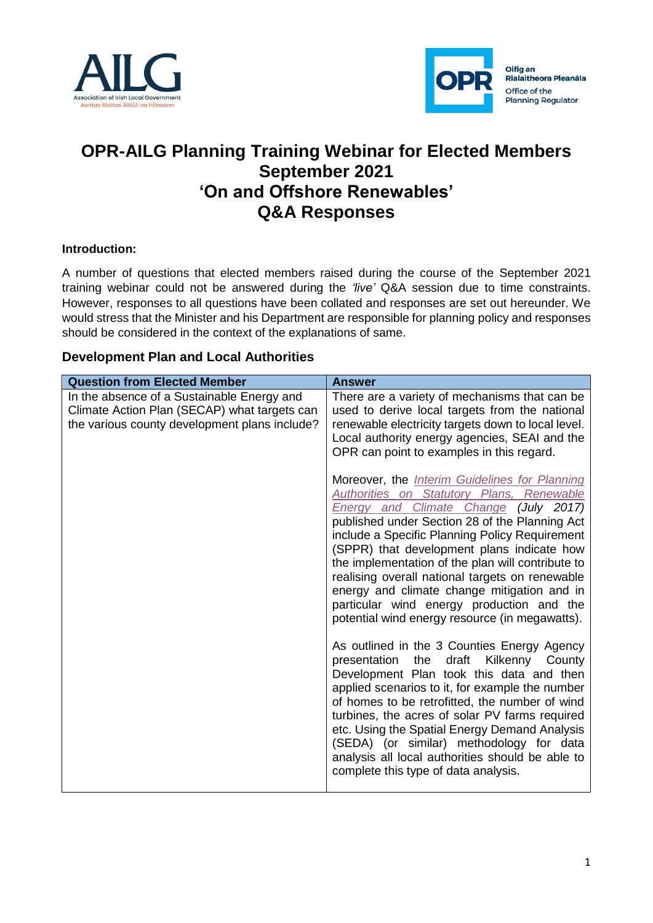



# **OPR-AILG Planning Training Webinar for Elected Members September 2021 'On and Offshore Renewables' Q&A Responses**

#### **Introduction:**

A number of questions that elected members raised during the course of the September 2021 training webinar could not be answered during the *'live'* Q&A session due to time constraints. However, responses to all questions have been collated and responses are set out hereunder. We would stress that the Minister and his Department are responsible for planning policy and responses should be considered in the context of the explanations of same.

### **Development Plan and Local Authorities**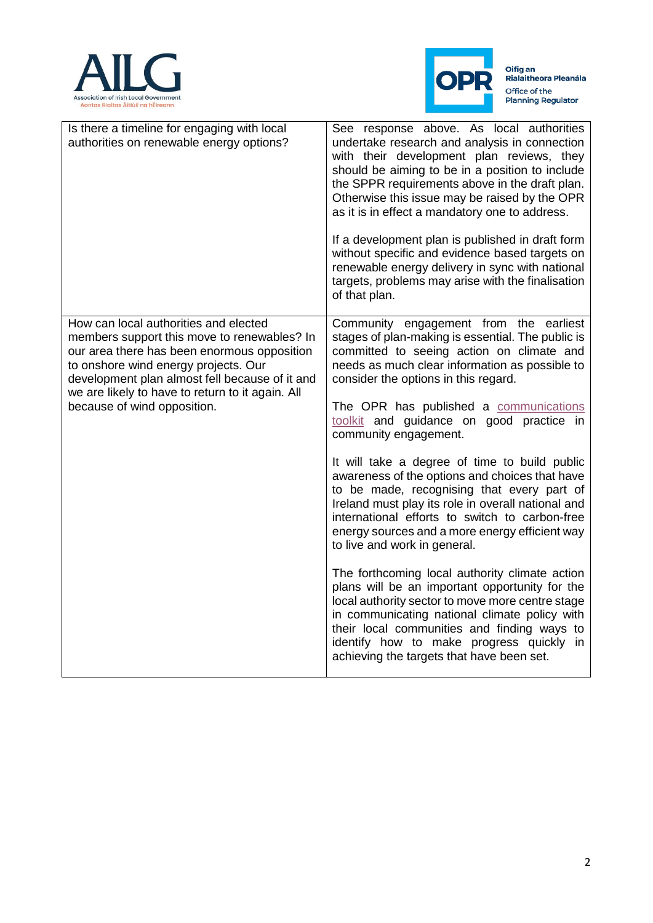



| Is there a timeline for engaging with local<br>authorities on renewable energy options?                                                                                                                                                                                                                          | See response above. As local authorities<br>undertake research and analysis in connection<br>with their development plan reviews, they<br>should be aiming to be in a position to include<br>the SPPR requirements above in the draft plan.<br>Otherwise this issue may be raised by the OPR<br>as it is in effect a mandatory one to address.                   |
|------------------------------------------------------------------------------------------------------------------------------------------------------------------------------------------------------------------------------------------------------------------------------------------------------------------|------------------------------------------------------------------------------------------------------------------------------------------------------------------------------------------------------------------------------------------------------------------------------------------------------------------------------------------------------------------|
|                                                                                                                                                                                                                                                                                                                  | If a development plan is published in draft form<br>without specific and evidence based targets on<br>renewable energy delivery in sync with national<br>targets, problems may arise with the finalisation<br>of that plan.                                                                                                                                      |
| How can local authorities and elected<br>members support this move to renewables? In<br>our area there has been enormous opposition<br>to onshore wind energy projects. Our<br>development plan almost fell because of it and<br>we are likely to have to return to it again. All<br>because of wind opposition. | Community engagement from the earliest<br>stages of plan-making is essential. The public is<br>committed to seeing action on climate and<br>needs as much clear information as possible to<br>consider the options in this regard.<br>The OPR has published a communications<br>toolkit and guidance on good practice in                                         |
|                                                                                                                                                                                                                                                                                                                  | community engagement.<br>It will take a degree of time to build public<br>awareness of the options and choices that have<br>to be made, recognising that every part of<br>Ireland must play its role in overall national and<br>international efforts to switch to carbon-free<br>energy sources and a more energy efficient way<br>to live and work in general. |
|                                                                                                                                                                                                                                                                                                                  | The forthcoming local authority climate action<br>plans will be an important opportunity for the<br>local authority sector to move more centre stage<br>in communicating national climate policy with<br>their local communities and finding ways to<br>identify how to make progress quickly in<br>achieving the targets that have been set.                    |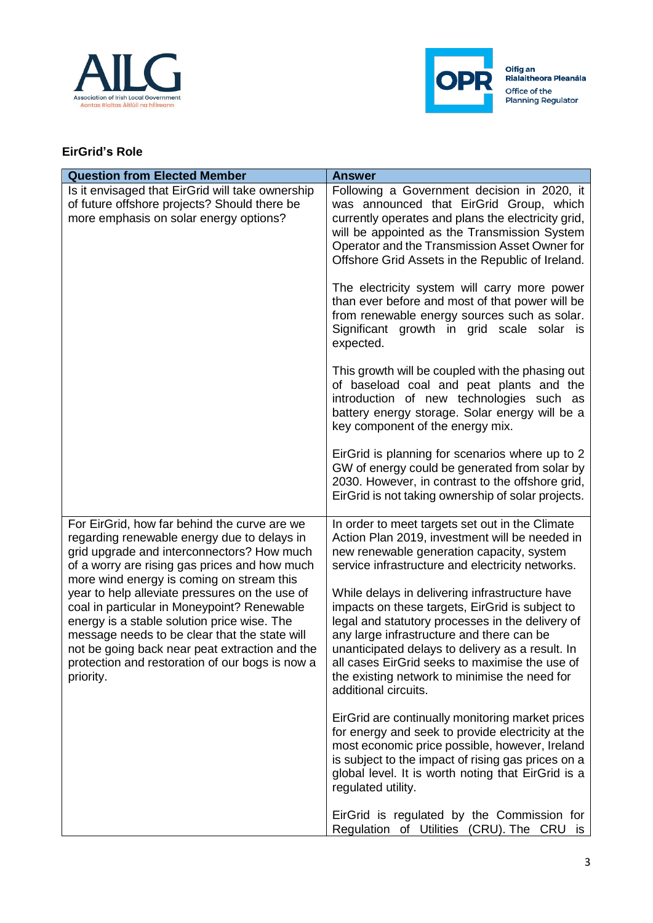



## **EirGrid's Role**

| <b>Question from Elected Member</b>                                                                                                                                                                                                                                                                             | <b>Answer</b>                                                                                                                                                                                                                                                                                                                                                                     |
|-----------------------------------------------------------------------------------------------------------------------------------------------------------------------------------------------------------------------------------------------------------------------------------------------------------------|-----------------------------------------------------------------------------------------------------------------------------------------------------------------------------------------------------------------------------------------------------------------------------------------------------------------------------------------------------------------------------------|
| Is it envisaged that EirGrid will take ownership<br>of future offshore projects? Should there be<br>more emphasis on solar energy options?                                                                                                                                                                      | Following a Government decision in 2020, it<br>was announced that EirGrid Group, which<br>currently operates and plans the electricity grid,<br>will be appointed as the Transmission System<br>Operator and the Transmission Asset Owner for<br>Offshore Grid Assets in the Republic of Ireland.                                                                                 |
|                                                                                                                                                                                                                                                                                                                 | The electricity system will carry more power<br>than ever before and most of that power will be<br>from renewable energy sources such as solar.<br>Significant growth in grid scale solar is<br>expected.                                                                                                                                                                         |
|                                                                                                                                                                                                                                                                                                                 | This growth will be coupled with the phasing out<br>of baseload coal and peat plants and the<br>introduction of new technologies such as<br>battery energy storage. Solar energy will be a<br>key component of the energy mix.                                                                                                                                                    |
|                                                                                                                                                                                                                                                                                                                 | EirGrid is planning for scenarios where up to 2<br>GW of energy could be generated from solar by<br>2030. However, in contrast to the offshore grid,<br>EirGrid is not taking ownership of solar projects.                                                                                                                                                                        |
| For EirGrid, how far behind the curve are we<br>regarding renewable energy due to delays in<br>grid upgrade and interconnectors? How much<br>of a worry are rising gas prices and how much<br>more wind energy is coming on stream this                                                                         | In order to meet targets set out in the Climate<br>Action Plan 2019, investment will be needed in<br>new renewable generation capacity, system<br>service infrastructure and electricity networks.                                                                                                                                                                                |
| year to help alleviate pressures on the use of<br>coal in particular in Moneypoint? Renewable<br>energy is a stable solution price wise. The<br>message needs to be clear that the state will<br>not be going back near peat extraction and the<br>protection and restoration of our bogs is now a<br>priority. | While delays in delivering infrastructure have<br>impacts on these targets, EirGrid is subject to<br>legal and statutory processes in the delivery of<br>any large infrastructure and there can be<br>unanticipated delays to delivery as a result. In<br>all cases EirGrid seeks to maximise the use of<br>the existing network to minimise the need for<br>additional circuits. |
|                                                                                                                                                                                                                                                                                                                 | EirGrid are continually monitoring market prices<br>for energy and seek to provide electricity at the<br>most economic price possible, however, Ireland<br>is subject to the impact of rising gas prices on a<br>global level. It is worth noting that EirGrid is a<br>regulated utility.                                                                                         |
|                                                                                                                                                                                                                                                                                                                 | EirGrid is regulated by the Commission for<br>Regulation of Utilities (CRU). The CRU is                                                                                                                                                                                                                                                                                           |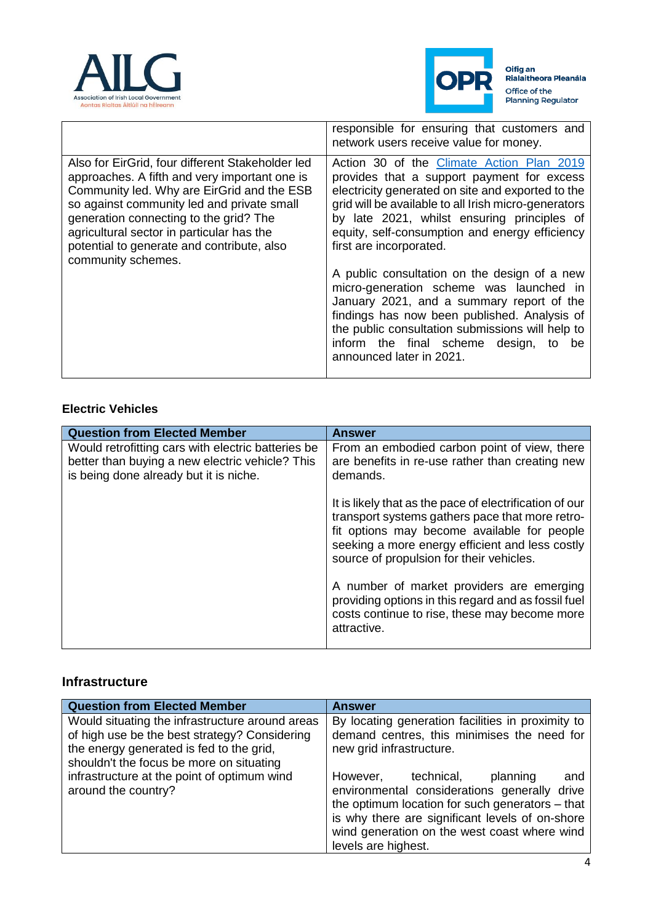

l



|                                                                                                                                                                                                                                                                                                                                                          | responsible for ensuring that customers and<br>network users receive value for money.                                                                                                                                                                                                                                            |
|----------------------------------------------------------------------------------------------------------------------------------------------------------------------------------------------------------------------------------------------------------------------------------------------------------------------------------------------------------|----------------------------------------------------------------------------------------------------------------------------------------------------------------------------------------------------------------------------------------------------------------------------------------------------------------------------------|
| Also for EirGrid, four different Stakeholder led<br>approaches. A fifth and very important one is<br>Community led. Why are EirGrid and the ESB<br>so against community led and private small<br>generation connecting to the grid? The<br>agricultural sector in particular has the<br>potential to generate and contribute, also<br>community schemes. | Action 30 of the Climate Action Plan 2019<br>provides that a support payment for excess<br>electricity generated on site and exported to the<br>grid will be available to all Irish micro-generators<br>by late 2021, whilst ensuring principles of<br>equity, self-consumption and energy efficiency<br>first are incorporated. |
|                                                                                                                                                                                                                                                                                                                                                          | A public consultation on the design of a new<br>micro-generation scheme was launched in<br>January 2021, and a summary report of the<br>findings has now been published. Analysis of<br>the public consultation submissions will help to<br>inform the final scheme design, to be<br>announced later in 2021.                    |

#### **Electric Vehicles**

| <b>Question from Elected Member</b>                                                                                                             | <b>Answer</b>                                                                                                                                                                                                                                            |
|-------------------------------------------------------------------------------------------------------------------------------------------------|----------------------------------------------------------------------------------------------------------------------------------------------------------------------------------------------------------------------------------------------------------|
| Would retrofitting cars with electric batteries be<br>better than buying a new electric vehicle? This<br>is being done already but it is niche. | From an embodied carbon point of view, there<br>are benefits in re-use rather than creating new<br>demands.                                                                                                                                              |
|                                                                                                                                                 | It is likely that as the pace of electrification of our<br>transport systems gathers pace that more retro-<br>fit options may become available for people<br>seeking a more energy efficient and less costly<br>source of propulsion for their vehicles. |
|                                                                                                                                                 | A number of market providers are emerging<br>providing options in this regard and as fossil fuel<br>costs continue to rise, these may become more<br>attractive.                                                                                         |

## **Infrastructure**

| <b>Question from Elected Member</b>                                                                                                                                                      | <b>Answer</b>                                                                                                                                                                                                                                                          |
|------------------------------------------------------------------------------------------------------------------------------------------------------------------------------------------|------------------------------------------------------------------------------------------------------------------------------------------------------------------------------------------------------------------------------------------------------------------------|
| Would situating the infrastructure around areas<br>of high use be the best strategy? Considering<br>the energy generated is fed to the grid,<br>shouldn't the focus be more on situating | By locating generation facilities in proximity to<br>demand centres, this minimises the need for<br>new grid infrastructure.                                                                                                                                           |
| infrastructure at the point of optimum wind<br>around the country?                                                                                                                       | technical,<br>planning<br>However,<br>and<br>environmental considerations generally drive<br>the optimum location for such generators - that<br>is why there are significant levels of on-shore<br>wind generation on the west coast where wind<br>levels are highest. |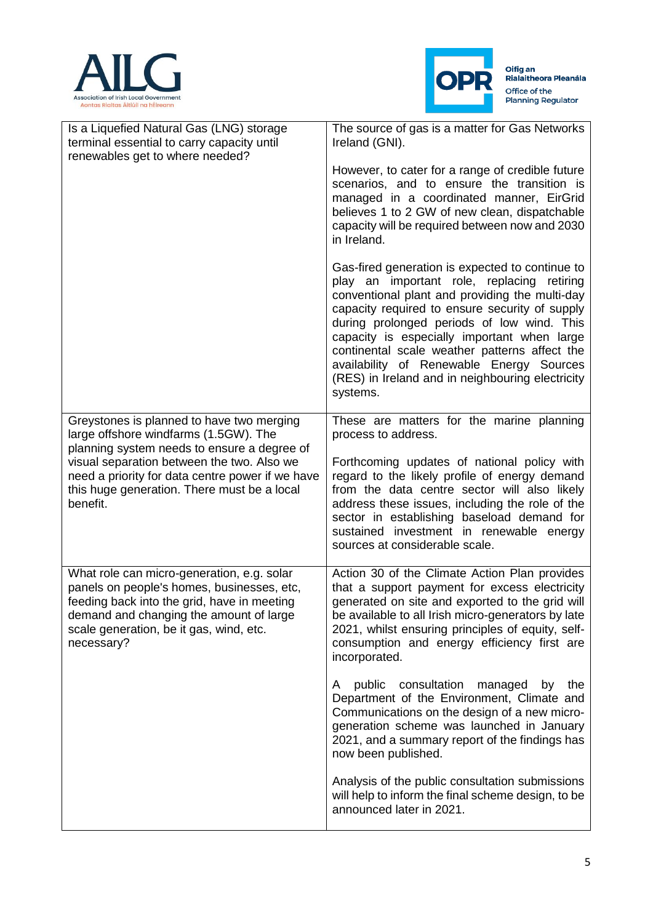



| Is a Liquefied Natural Gas (LNG) storage<br>terminal essential to carry capacity until<br>renewables get to where needed?                                                                                                                                                                      | The source of gas is a matter for Gas Networks<br>Ireland (GNI).                                                                                                                                                                                                                                                                                                                                                                                            |
|------------------------------------------------------------------------------------------------------------------------------------------------------------------------------------------------------------------------------------------------------------------------------------------------|-------------------------------------------------------------------------------------------------------------------------------------------------------------------------------------------------------------------------------------------------------------------------------------------------------------------------------------------------------------------------------------------------------------------------------------------------------------|
|                                                                                                                                                                                                                                                                                                | However, to cater for a range of credible future<br>scenarios, and to ensure the transition is<br>managed in a coordinated manner, EirGrid<br>believes 1 to 2 GW of new clean, dispatchable<br>capacity will be required between now and 2030<br>in Ireland.                                                                                                                                                                                                |
|                                                                                                                                                                                                                                                                                                | Gas-fired generation is expected to continue to<br>play an important role, replacing retiring<br>conventional plant and providing the multi-day<br>capacity required to ensure security of supply<br>during prolonged periods of low wind. This<br>capacity is especially important when large<br>continental scale weather patterns affect the<br>availability of Renewable Energy Sources<br>(RES) in Ireland and in neighbouring electricity<br>systems. |
| Greystones is planned to have two merging<br>large offshore windfarms (1.5GW). The<br>planning system needs to ensure a degree of<br>visual separation between the two. Also we<br>need a priority for data centre power if we have<br>this huge generation. There must be a local<br>benefit. | These are matters for the marine planning<br>process to address.<br>Forthcoming updates of national policy with<br>regard to the likely profile of energy demand<br>from the data centre sector will also likely<br>address these issues, including the role of the<br>sector in establishing baseload demand for<br>sustained investment in renewable energy<br>sources at considerable scale.                                                             |
| What role can micro-generation, e.g. solar<br>panels on people's homes, businesses, etc,<br>feeding back into the grid, have in meeting<br>demand and changing the amount of large<br>scale generation, be it gas, wind, etc.<br>necessary?                                                    | Action 30 of the Climate Action Plan provides<br>that a support payment for excess electricity<br>generated on site and exported to the grid will<br>be available to all Irish micro-generators by late<br>2021, whilst ensuring principles of equity, self-<br>consumption and energy efficiency first are<br>incorporated.                                                                                                                                |
|                                                                                                                                                                                                                                                                                                | A public consultation<br>managed<br>by the<br>Department of the Environment, Climate and<br>Communications on the design of a new micro-<br>generation scheme was launched in January<br>2021, and a summary report of the findings has<br>now been published.                                                                                                                                                                                              |
|                                                                                                                                                                                                                                                                                                | Analysis of the public consultation submissions<br>will help to inform the final scheme design, to be<br>announced later in 2021.                                                                                                                                                                                                                                                                                                                           |